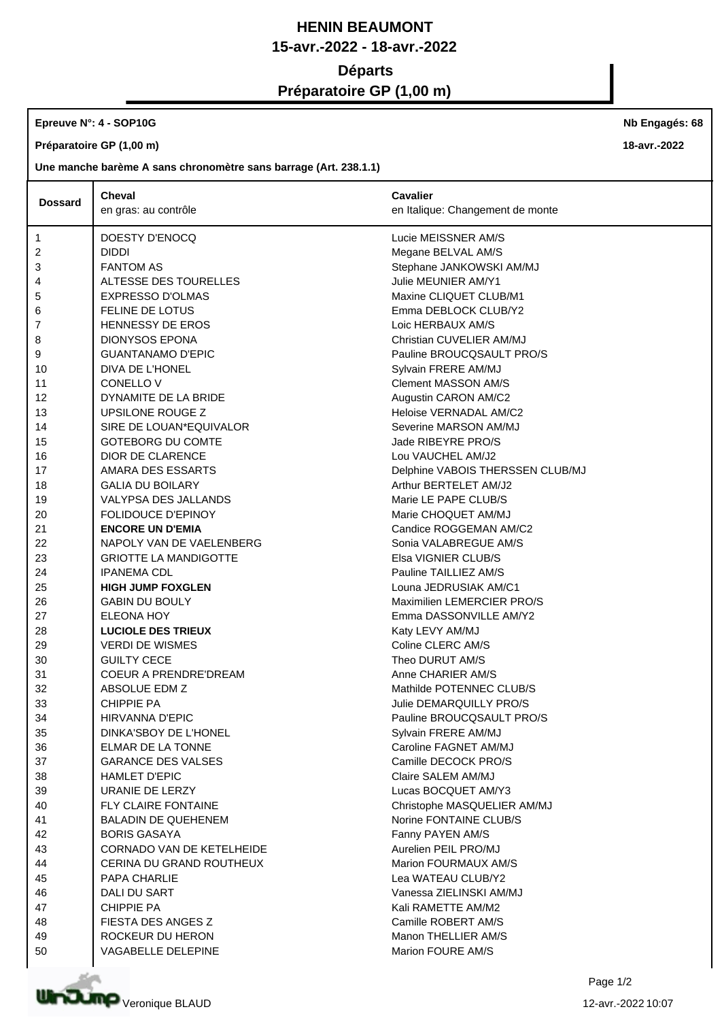# **HENIN BEAUMONT 15-avr.-2022 - 18-avr.-2022 Départs Préparatoire GP (1,00 m)**

# **Epreuve N°: 4 - SOP10G**

**Préparatoire GP (1,00 m)**

## **Une manche barème A sans chronomètre sans barrage (Art. 238.1.1)**

| <b>Dossard</b> | <b>Cheval</b>                    | <b>Cavalier</b>                  |
|----------------|----------------------------------|----------------------------------|
|                | en gras: au contrôle             | en Italique: Changement de monte |
| 1              | DOESTY D'ENOCQ                   | Lucie MEISSNER AM/S              |
| 2              | DIDDI                            | Megane BELVAL AM/S               |
| 3              | <b>FANTOM AS</b>                 | Stephane JANKOWSKI AM/MJ         |
| 4              | ALTESSE DES TOURELLES            | Julie MEUNIER AM/Y1              |
| 5              | <b>EXPRESSO D'OLMAS</b>          | Maxine CLIQUET CLUB/M1           |
| 6              | <b>FELINE DE LOTUS</b>           | Emma DEBLOCK CLUB/Y2             |
| $\overline{7}$ | <b>HENNESSY DE EROS</b>          | Loic HERBAUX AM/S                |
| 8              | <b>DIONYSOS EPONA</b>            | Christian CUVELIER AM/MJ         |
| 9              | <b>GUANTANAMO D'EPIC</b>         | Pauline BROUCQSAULT PRO/S        |
| 10             | DIVA DE L'HONEL                  | Sylvain FRERE AM/MJ              |
| 11             | CONELLO V                        | <b>Clement MASSON AM/S</b>       |
| 12             | DYNAMITE DE LA BRIDE             | Augustin CARON AM/C2             |
| 13             | UPSILONE ROUGE Z                 | Heloise VERNADAL AM/C2           |
| 14             | SIRE DE LOUAN*EQUIVALOR          | Severine MARSON AM/MJ            |
| 15             | <b>GOTEBORG DU COMTE</b>         | Jade RIBEYRE PRO/S               |
| 16             | <b>DIOR DE CLARENCE</b>          | Lou VAUCHEL AM/J2                |
| 17             | AMARA DES ESSARTS                | Delphine VABOIS THERSSEN CLUB/MJ |
| 18             | <b>GALIA DU BOILARY</b>          | Arthur BERTELET AM/J2            |
| 19             | VALYPSA DES JALLANDS             | Marie LE PAPE CLUB/S             |
| 20             | <b>FOLIDOUCE D'EPINOY</b>        | Marie CHOQUET AM/MJ              |
| 21             | <b>ENCORE UN D'EMIA</b>          | Candice ROGGEMAN AM/C2           |
| 22             | NAPOLY VAN DE VAELENBERG         | Sonia VALABREGUE AM/S            |
| 23             | <b>GRIOTTE LA MANDIGOTTE</b>     | Elsa VIGNIER CLUB/S              |
| 24             | <b>IPANEMA CDL</b>               | Pauline TAILLIEZ AM/S            |
| 25             | <b>HIGH JUMP FOXGLEN</b>         | Louna JEDRUSIAK AM/C1            |
| 26             | <b>GABIN DU BOULY</b>            | Maximilien LEMERCIER PRO/S       |
| 27             | <b>ELEONA HOY</b>                | Emma DASSONVILLE AM/Y2           |
| 28             | <b>LUCIOLE DES TRIEUX</b>        | Katy LEVY AM/MJ                  |
| 29             | <b>VERDI DE WISMES</b>           | Coline CLERC AM/S                |
| 30             | <b>GUILTY CECE</b>               | Theo DURUT AM/S                  |
| 31             | <b>COEUR A PRENDRE'DREAM</b>     | Anne CHARIER AM/S                |
| 32             | ABSOLUE EDM Z                    | Mathilde POTENNEC CLUB/S         |
| 33             | <b>CHIPPIE PA</b>                | Julie DEMARQUILLY PRO/S          |
| 34             | <b>HIRVANNA D'EPIC</b>           | Pauline BROUCQSAULT PRO/S        |
| 35             | DINKA'SBOY DE L'HONEL            | Sylvain FRERE AM/MJ              |
| 36             | <b>ELMAR DE LA TONNE</b>         | Caroline FAGNET AM/MJ            |
| 37             | <b>GARANCE DES VALSES</b>        | Camille DECOCK PRO/S             |
| 38             | <b>HAMLET D'EPIC</b>             | Claire SALEM AM/MJ               |
| 39             | URANIE DE LERZY                  | Lucas BOCQUET AM/Y3              |
| 40             | FLY CLAIRE FONTAINE              | Christophe MASQUELIER AM/MJ      |
| 41             | <b>BALADIN DE QUEHENEM</b>       | Norine FONTAINE CLUB/S           |
| 42             | <b>BORIS GASAYA</b>              | Fanny PAYEN AM/S                 |
| 43             | <b>CORNADO VAN DE KETELHEIDE</b> | Aurelien PEIL PRO/MJ             |
| 44             | CERINA DU GRAND ROUTHEUX         | Marion FOURMAUX AM/S             |
| 45             | PAPA CHARLIE                     | Lea WATEAU CLUB/Y2               |
| 46             | DALI DU SART                     | Vanessa ZIELINSKI AM/MJ          |
| 47             | <b>CHIPPIE PA</b>                | Kali RAMETTE AM/M2               |
| 48             | FIESTA DES ANGES Z               | Camille ROBERT AM/S              |
| 49             | ROCKEUR DU HERON                 | Manon THELLIER AM/S              |
| 50             | VAGABELLE DELEPINE               | Marion FOURE AM/S                |



**Nb Engagés: 68**

**18-avr.-2022**